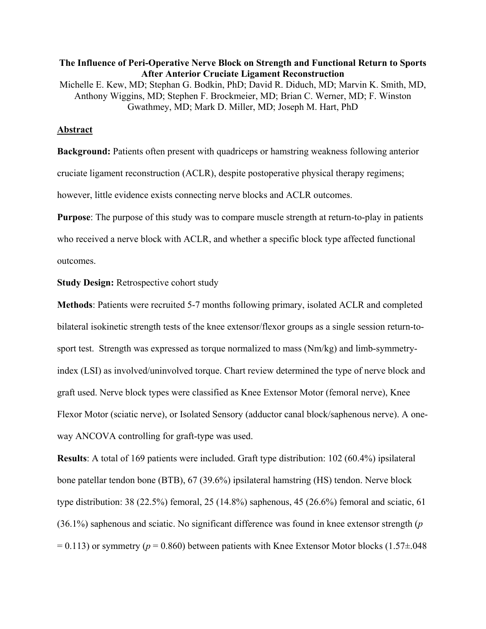## **The Influence of Peri-Operative Nerve Block on Strength and Functional Return to Sports After Anterior Cruciate Ligament Reconstruction** Michelle E. Kew, MD; Stephan G. Bodkin, PhD; David R. Diduch, MD; Marvin K. Smith, MD, Anthony Wiggins, MD; Stephen F. Brockmeier, MD; Brian C. Werner, MD; F. Winston Gwathmey, MD; Mark D. Miller, MD; Joseph M. Hart, PhD

## **Abstract**

**Background:** Patients often present with quadriceps or hamstring weakness following anterior cruciate ligament reconstruction (ACLR), despite postoperative physical therapy regimens; however, little evidence exists connecting nerve blocks and ACLR outcomes.

**Purpose**: The purpose of this study was to compare muscle strength at return-to-play in patients who received a nerve block with ACLR, and whether a specific block type affected functional outcomes.

**Study Design:** Retrospective cohort study

**Methods**: Patients were recruited 5-7 months following primary, isolated ACLR and completed bilateral isokinetic strength tests of the knee extensor/flexor groups as a single session return-tosport test. Strength was expressed as torque normalized to mass (Nm/kg) and limb-symmetryindex (LSI) as involved/uninvolved torque. Chart review determined the type of nerve block and graft used. Nerve block types were classified as Knee Extensor Motor (femoral nerve), Knee Flexor Motor (sciatic nerve), or Isolated Sensory (adductor canal block/saphenous nerve). A oneway ANCOVA controlling for graft-type was used.

**Results**: A total of 169 patients were included. Graft type distribution: 102 (60.4%) ipsilateral bone patellar tendon bone (BTB), 67 (39.6%) ipsilateral hamstring (HS) tendon. Nerve block type distribution: 38 (22.5%) femoral, 25 (14.8%) saphenous, 45 (26.6%) femoral and sciatic, 61 (36.1%) saphenous and sciatic. No significant difference was found in knee extensor strength (*p*  $= 0.113$ ) or symmetry ( $p = 0.860$ ) between patients with Knee Extensor Motor blocks (1.57 $\pm$ .048